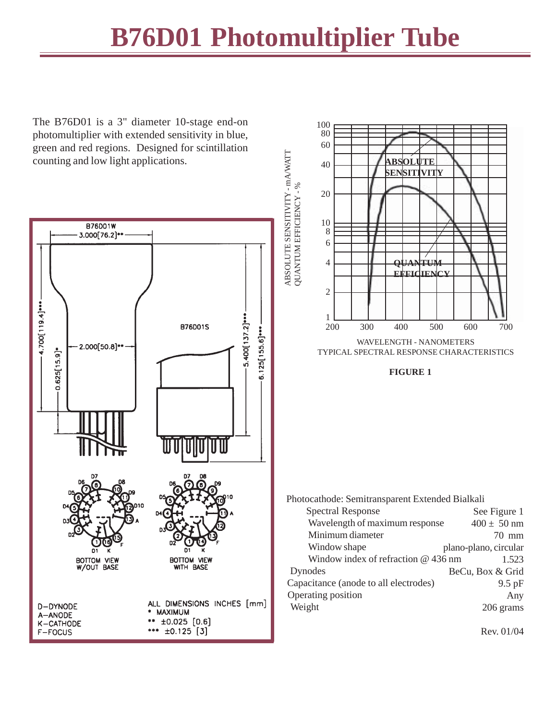## **B76D01 Photomultiplier Tube**

The B76D01 is a 3" diameter 10-stage end-on photomultiplier with extended sensitivity in blue, green and red regions. Designed for scintillation counting and low light applications.